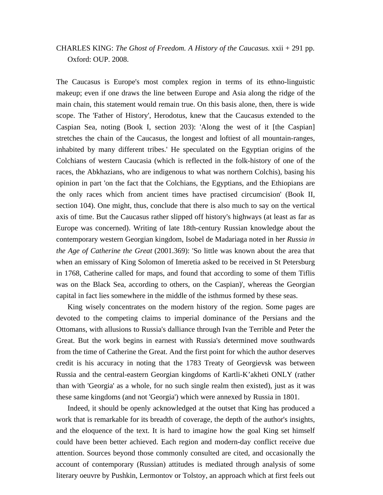## CHARLES KING: *The Ghost of Freedom. A History of the Caucasus.* xxii + 291 pp. Oxford: OUP. 2008.

The Caucasus is Europe's most complex region in terms of its ethno-linguistic makeup; even if one draws the line between Europe and Asia along the ridge of the main chain, this statement would remain true. On this basis alone, then, there is wide scope. The 'Father of History', Herodotus, knew that the Caucasus extended to the Caspian Sea, noting (Book I, section 203): 'Along the west of it [the Caspian] stretches the chain of the Caucasus, the longest and loftiest of all mountain-ranges, inhabited by many different tribes.' He speculated on the Egyptian origins of the Colchians of western Caucasia (which is reflected in the folk-history of one of the races, the Abkhazians, who are indigenous to what was northern Colchis), basing his opinion in part 'on the fact that the Colchians, the Egyptians, and the Ethiopians are the only races which from ancient times have practised circumcision' (Book II, section 104). One might, thus, conclude that there is also much to say on the vertical axis of time. But the Caucasus rather slipped off history's highways (at least as far as Europe was concerned). Writing of late 18th-century Russian knowledge about the contemporary western Georgian kingdom, Isobel de Madariaga noted in her *Russia in the Age of Catherine the Great* (2001.369): 'So little was known about the area that when an emissary of King Solomon of Imeretia asked to be received in St Petersburg in 1768, Catherine called for maps, and found that according to some of them Tiflis was on the Black Sea, according to others, on the Caspian)', whereas the Georgian capital in fact lies somewhere in the middle of the isthmus formed by these seas.

King wisely concentrates on the modern history of the region. Some pages are devoted to the competing claims to imperial dominance of the Persians and the Ottomans, with allusions to Russia's dalliance through Ivan the Terrible and Peter the Great. But the work begins in earnest with Russia's determined move southwards from the time of Catherine the Great. And the first point for which the author deserves credit is his accuracy in noting that the 1783 Treaty of Georgievsk was between Russia and the central-eastern Georgian kingdoms of Kartli-K'akheti ONLY (rather than with 'Georgia' as a whole, for no such single realm then existed), just as it was these same kingdoms (and not 'Georgia') which were annexed by Russia in 1801.

Indeed, it should be openly acknowledged at the outset that King has produced a work that is remarkable for its breadth of coverage, the depth of the author's insights, and the eloquence of the text. It is hard to imagine how the goal King set himself could have been better achieved. Each region and modern-day conflict receive due attention. Sources beyond those commonly consulted are cited, and occasionally the account of contemporary (Russian) attitudes is mediated through analysis of some literary oeuvre by Pushkin, Lermontov or Tolstoy, an approach which at first feels out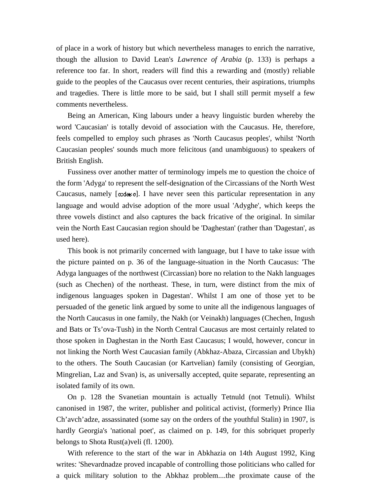of place in a work of history but which nevertheless manages to enrich the narrative, though the allusion to David Lean's *Lawrence of Arabia* (p. 133) is perhaps a reference too far. In short, readers will find this a rewarding and (mostly) reliable guide to the peoples of the Caucasus over recent centuries, their aspirations, triumphs and tragedies. There is little more to be said, but I shall still permit myself a few comments nevertheless.

Being an American, King labours under a heavy linguistic burden whereby the word 'Caucasian' is totally devoid of association with the Caucasus. He, therefore, feels compelled to employ such phrases as 'North Caucasus peoples', whilst 'North Caucasian peoples' sounds much more felicitous (and unambiguous) to speakers of British English.

Fussiness over another matter of terminology impels me to question the choice of the form 'Adyga' to represent the self-designation of the Circassians of the North West Caucasus, namely [code o]. I have never seen this particular representation in any language and would advise adoption of the more usual 'Adyghe', which keeps the three vowels distinct and also captures the back fricative of the original. In similar vein the North East Caucasian region should be 'Daghestan' (rather than 'Dagestan', as used here).

This book is not primarily concerned with language, but I have to take issue with the picture painted on p. 36 of the language-situation in the North Caucasus: 'The Adyga languages of the northwest (Circassian) bore no relation to the Nakh languages (such as Chechen) of the northeast. These, in turn, were distinct from the mix of indigenous languages spoken in Dagestan'. Whilst I am one of those yet to be persuaded of the genetic link argued by some to unite all the indigenous languages of the North Caucasus in one family, the Nakh (or Veinakh) languages (Chechen, Ingush and Bats or Ts'ova-Tush) in the North Central Caucasus are most certainly related to those spoken in Daghestan in the North East Caucasus; I would, however, concur in not linking the North West Caucasian family (Abkhaz-Abaza, Circassian and Ubykh) to the others. The South Caucasian (or Kartvelian) family (consisting of Georgian, Mingrelian, Laz and Svan) is, as universally accepted, quite separate, representing an isolated family of its own.

On p. 128 the Svanetian mountain is actually Tetnuld (not Tetnuli). Whilst canonised in 1987, the writer, publisher and political activist, (formerly) Prince Ilia Ch'avch'adze, assassinated (some say on the orders of the youthful Stalin) in 1907, is hardly Georgia's 'national poet', as claimed on p. 149, for this sobriquet properly belongs to Shota Rust(a)veli (fl. 1200).

With reference to the start of the war in Abkhazia on 14th August 1992, King writes: 'Shevardnadze proved incapable of controlling those politicians who called for a quick military solution to the Abkhaz problem....the proximate cause of the